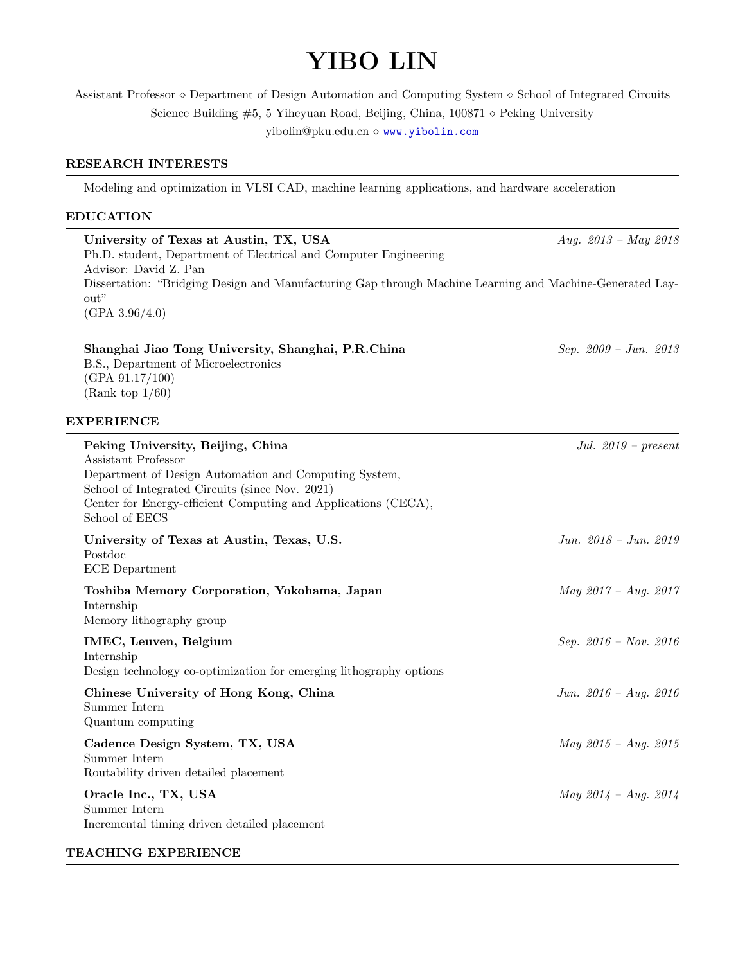# YIBO LIN

Assistant Professor  $\diamond$  Department of Design Automation and Computing System  $\diamond$  School of Integrated Circuits Science Building  $#5, 5$  Yiheyuan Road, Beijing, China, 100871  $\diamond$  Peking University yibolin@pku.edu.cn  $\diamond$  <www.yibolin.com>

## RESEARCH INTERESTS

Modeling and optimization in VLSI CAD, machine learning applications, and hardware acceleration

## EDUCATION

| University of Texas at Austin, TX, USA                                                                   | Aug. $2013 - May 2018$ |
|----------------------------------------------------------------------------------------------------------|------------------------|
| Ph.D. student, Department of Electrical and Computer Engineering                                         |                        |
| Advisor: David Z. Pan                                                                                    |                        |
| Dissertation: "Bridging Design and Manufacturing Gap through Machine Learning and Machine-Generated Lay- |                        |
| $\text{out}$ "                                                                                           |                        |
| (GPA 3.96/4.0)                                                                                           |                        |

 $Sep. 2009 - Jun. 2013$ 

| Shanghai Jiao Tong University, Shanghai, P.R.China |
|----------------------------------------------------|
| B.S., Department of Microelectronics               |
| (GPA 91.17/100)                                    |
| (Rank top 1/60)                                    |

# EXPERIENCE

| Peking University, Beijing, China<br>Assistant Professor                                                                                                                                     | Jul. $2019$ – present   |
|----------------------------------------------------------------------------------------------------------------------------------------------------------------------------------------------|-------------------------|
| Department of Design Automation and Computing System,<br>School of Integrated Circuits (since Nov. 2021)<br>Center for Energy-efficient Computing and Applications (CECA),<br>School of EECS |                         |
| University of Texas at Austin, Texas, U.S.<br>Postdoc<br><b>ECE</b> Department                                                                                                               | Jun. $2018 - Jun. 2019$ |
| Toshiba Memory Corporation, Yokohama, Japan<br>Internship<br>Memory lithography group                                                                                                        | $May 2017 - Aug. 2017$  |
| IMEC, Leuven, Belgium<br>Internship<br>Design technology co-optimization for emerging lithography options                                                                                    | Sep. $2016 - Nov. 2016$ |
| Chinese University of Hong Kong, China<br>Summer Intern<br>Quantum computing                                                                                                                 | Jun. $2016 - Aug. 2016$ |
| Cadence Design System, TX, USA<br>Summer Intern<br>Routability driven detailed placement                                                                                                     | $May 2015 - Aug. 2015$  |
| Oracle Inc., TX, USA<br>Summer Intern<br>Incremental timing driven detailed placement                                                                                                        | May 2014 - Aug. 2014    |
| <b>TEACHING EXPERIENCE</b>                                                                                                                                                                   |                         |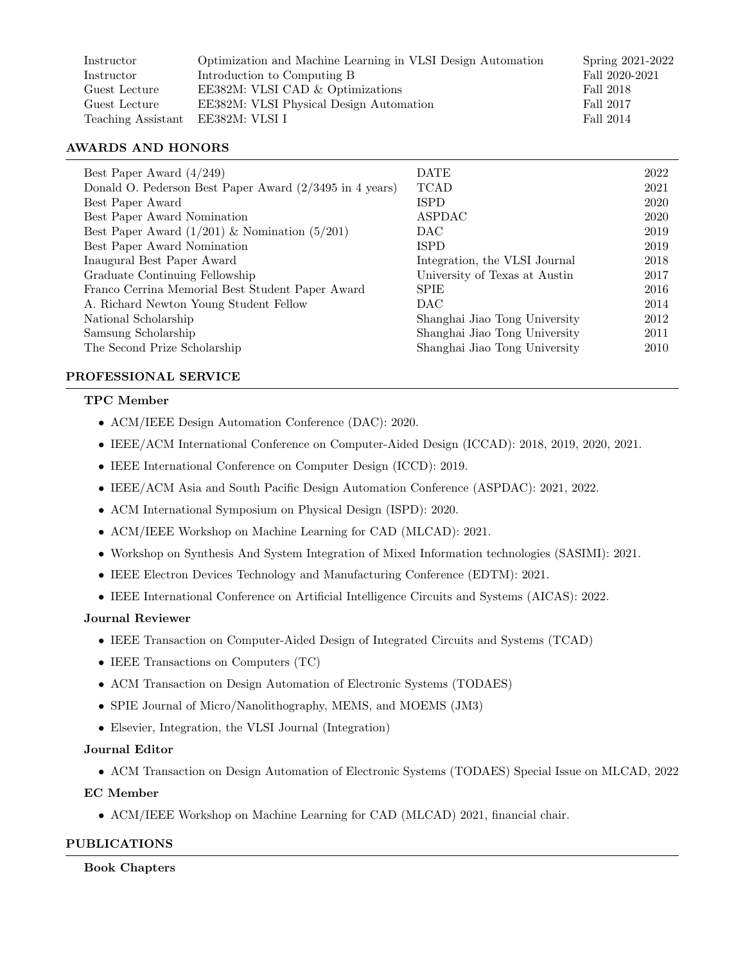| Instructor         | Optimization and Machine Learning in VLSI Design Automation | Spring 2021-2022 |
|--------------------|-------------------------------------------------------------|------------------|
| Instructor         | Introduction to Computing B                                 | Fall 2020-2021   |
| Guest Lecture      | EE382M: VLSI CAD & Optimizations                            | Fall 2018        |
| Guest Lecture      | EE382M: VLSI Physical Design Automation                     | Fall 2017        |
| Teaching Assistant | EE382M: VLSI I                                              | Fall 2014        |

## AWARDS AND HONORS

| Best Paper Award $(4/249)$                                                 | <b>DATE</b>                   | 2022 |
|----------------------------------------------------------------------------|-------------------------------|------|
| Donald O. Pederson Best Paper Award $(2/3495 \text{ in } 4 \text{ years})$ | <b>TCAD</b>                   | 2021 |
| Best Paper Award                                                           | <b>ISPD</b>                   | 2020 |
| Best Paper Award Nomination                                                | ASPDAC                        | 2020 |
| Best Paper Award $(1/201)$ & Nomination $(5/201)$                          | <b>DAC</b>                    | 2019 |
| Best Paper Award Nomination                                                | <b>ISPD</b>                   | 2019 |
| Inaugural Best Paper Award                                                 | Integration, the VLSI Journal | 2018 |
| Graduate Continuing Fellowship                                             | University of Texas at Austin | 2017 |
| Franco Cerrina Memorial Best Student Paper Award                           | <b>SPIE</b>                   | 2016 |
| A. Richard Newton Young Student Fellow                                     | <b>DAC</b>                    | 2014 |
| National Scholarship                                                       | Shanghai Jiao Tong University | 2012 |
| Samsung Scholarship                                                        | Shanghai Jiao Tong University | 2011 |
| The Second Prize Scholarship                                               | Shanghai Jiao Tong University | 2010 |

# PROFESSIONAL SERVICE

# TPC Member

- ACM/IEEE Design Automation Conference (DAC): 2020.
- IEEE/ACM International Conference on Computer-Aided Design (ICCAD): 2018, 2019, 2020, 2021.
- IEEE International Conference on Computer Design (ICCD): 2019.
- IEEE/ACM Asia and South Pacific Design Automation Conference (ASPDAC): 2021, 2022.
- ACM International Symposium on Physical Design (ISPD): 2020.
- ACM/IEEE Workshop on Machine Learning for CAD (MLCAD): 2021.
- Workshop on Synthesis And System Integration of Mixed Information technologies (SASIMI): 2021.
- IEEE Electron Devices Technology and Manufacturing Conference (EDTM): 2021.
- IEEE International Conference on Artificial Intelligence Circuits and Systems (AICAS): 2022.

#### Journal Reviewer

- IEEE Transaction on Computer-Aided Design of Integrated Circuits and Systems (TCAD)
- IEEE Transactions on Computers (TC)
- ACM Transaction on Design Automation of Electronic Systems (TODAES)
- SPIE Journal of Micro/Nanolithography, MEMS, and MOEMS (JM3)
- Elsevier, Integration, the VLSI Journal (Integration)

## Journal Editor

• ACM Transaction on Design Automation of Electronic Systems (TODAES) Special Issue on MLCAD, 2022

# EC Member

• ACM/IEEE Workshop on Machine Learning for CAD (MLCAD) 2021, financial chair.

# PUBLICATIONS

#### Book Chapters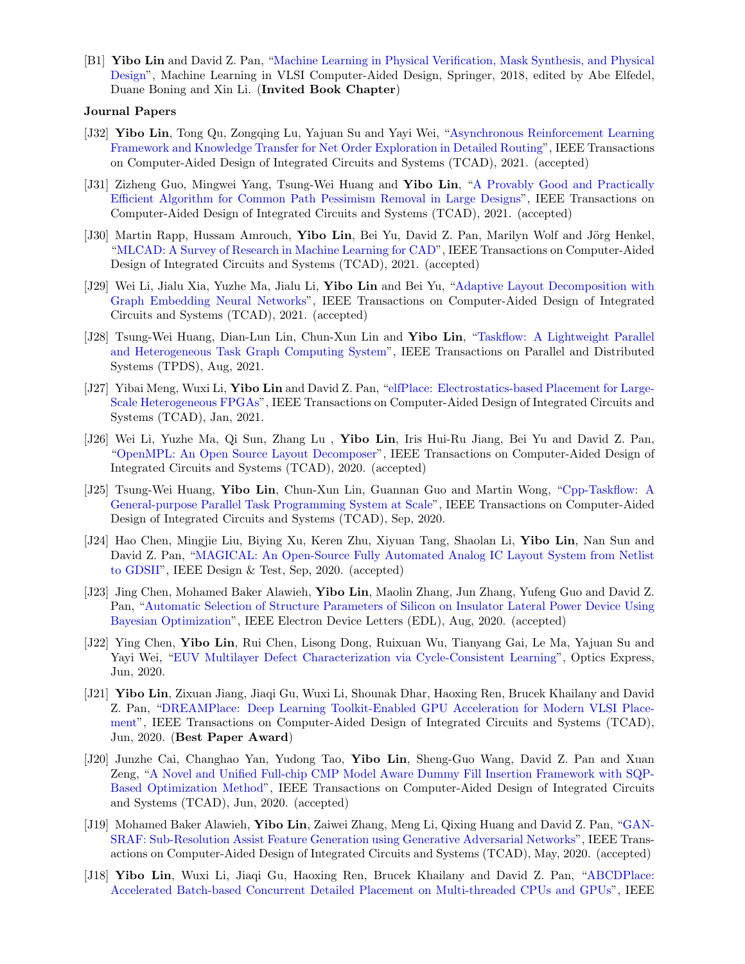[B1] Yibo Lin and David Z. Pan, ["Machine Learning in Physical Verification, Mask Synthesis, and Physical](http://dx.doi.org/10.1007/978-3-030-04666-8_4) [Design"](http://dx.doi.org/10.1007/978-3-030-04666-8_4), Machine Learning in VLSI Computer-Aided Design, Springer, 2018, edited by Abe Elfedel, Duane Boning and Xin Li. (Invited Book Chapter)

#### Journal Papers

- [J32] Yibo Lin, Tong Qu, Zongqing Lu, Yajuan Su and Yayi Wei, ["Asynchronous Reinforcement Learning](https://doi.org/10.1109/TCAD.2021.3117505) [Framework and Knowledge Transfer for Net Order Exploration in Detailed Routing"](https://doi.org/10.1109/TCAD.2021.3117505), IEEE Transactions on Computer-Aided Design of Integrated Circuits and Systems (TCAD), 2021. (accepted)
- [J31] Zizheng Guo, Mingwei Yang, Tsung-Wei Huang and Yibo Lin, ["A Provably Good and Practically](https://doi.org/10.1109/TCAD.2021.3124758) [Efficient Algorithm for Common Path Pessimism Removal in Large Designs"](https://doi.org/10.1109/TCAD.2021.3124758), IEEE Transactions on Computer-Aided Design of Integrated Circuits and Systems (TCAD), 2021. (accepted)
- [J30] Martin Rapp, Hussam Amrouch, Yibo Lin, Bei Yu, David Z. Pan, Marilyn Wolf and Jörg Henkel, ["MLCAD: A Survey of Research in Machine Learning for CAD"](https://doi.org/10.1109/TCAD.2021.3124762), IEEE Transactions on Computer-Aided Design of Integrated Circuits and Systems (TCAD), 2021. (accepted)
- [J29] Wei Li, Jialu Xia, Yuzhe Ma, Jialu Li, Yibo Lin and Bei Yu, ["Adaptive Layout Decomposition with](https://doi.org/10.1109/TCAD.2022.3140729) [Graph Embedding Neural Networks"](https://doi.org/10.1109/TCAD.2022.3140729), IEEE Transactions on Computer-Aided Design of Integrated Circuits and Systems (TCAD), 2021. (accepted)
- [J28] Tsung-Wei Huang, Dian-Lun Lin, Chun-Xun Lin and Yibo Lin, ["Taskflow: A Lightweight Parallel](https://doi.org/10.1109/TPDS.2021.3104255) [and Heterogeneous Task Graph Computing System"](https://doi.org/10.1109/TPDS.2021.3104255), IEEE Transactions on Parallel and Distributed Systems (TPDS), Aug, 2021.
- [J27] Yibai Meng, Wuxi Li, Yibo Lin and David Z. Pan, ["elfPlace: Electrostatics-based Placement for Large-](https://doi.org/10.1109/TCAD.2021.3053191)[Scale Heterogeneous FPGAs"](https://doi.org/10.1109/TCAD.2021.3053191), IEEE Transactions on Computer-Aided Design of Integrated Circuits and Systems (TCAD), Jan, 2021.
- [J26] Wei Li, Yuzhe Ma, Qi Sun, Zhang Lu , Yibo Lin, Iris Hui-Ru Jiang, Bei Yu and David Z. Pan, ["OpenMPL: An Open Source Layout Decomposer"](https://doi.org/10.1109/TCAD.2020.3042175), IEEE Transactions on Computer-Aided Design of Integrated Circuits and Systems (TCAD), 2020. (accepted)
- [J25] Tsung-Wei Huang, Yibo Lin, Chun-Xun Lin, Guannan Guo and Martin Wong, ["Cpp-Taskflow: A](https://doi.org/10.1109/TCAD.2021.3082507) [General-purpose Parallel Task Programming System at Scale"](https://doi.org/10.1109/TCAD.2021.3082507), IEEE Transactions on Computer-Aided Design of Integrated Circuits and Systems (TCAD), Sep, 2020.
- [J24] Hao Chen, Mingjie Liu, Biying Xu, Keren Zhu, Xiyuan Tang, Shaolan Li, Yibo Lin, Nan Sun and David Z. Pan, ["MAGICAL: An Open-Source Fully Automated Analog IC Layout System from Netlist](https://doi.org/10.1109/MDAT.2020.3024153) [to GDSII"](https://doi.org/10.1109/MDAT.2020.3024153), IEEE Design & Test, Sep, 2020. (accepted)
- [J23] Jing Chen, Mohamed Baker Alawieh, Yibo Lin, Maolin Zhang, Jun Zhang, Yufeng Guo and David Z. Pan, ["Automatic Selection of Structure Parameters of Silicon on Insulator Lateral Power Device Using](https://doi.org/10.1109/LED.2020.3013571) [Bayesian Optimization"](https://doi.org/10.1109/LED.2020.3013571), IEEE Electron Device Letters (EDL), Aug, 2020. (accepted)
- [J22] Ying Chen, Yibo Lin, Rui Chen, Lisong Dong, Ruixuan Wu, Tianyang Gai, Le Ma, Yajuan Su and Yayi Wei, ["EUV Multilayer Defect Characterization via Cycle-Consistent Learning"](https://doi.org/10.1364/OE.394590), Optics Express, Jun, 2020.
- [J21] Yibo Lin, Zixuan Jiang, Jiaqi Gu, Wuxi Li, Shounak Dhar, Haoxing Ren, Brucek Khailany and David Z. Pan, ["DREAMPlace: Deep Learning Toolkit-Enabled GPU Acceleration for Modern VLSI Place](https://doi.org/10.1109/TCAD.2020.3003843)[ment"](https://doi.org/10.1109/TCAD.2020.3003843), IEEE Transactions on Computer-Aided Design of Integrated Circuits and Systems (TCAD), Jun, 2020. (Best Paper Award)
- [J20] Junzhe Cai, Changhao Yan, Yudong Tao, Yibo Lin, Sheng-Guo Wang, David Z. Pan and Xuan Zeng, ["A Novel and Unified Full-chip CMP Model Aware Dummy Fill Insertion Framework with SQP-](https://doi.org/10.1109/TCAD.2020.3001380)[Based Optimization Method"](https://doi.org/10.1109/TCAD.2020.3001380), IEEE Transactions on Computer-Aided Design of Integrated Circuits and Systems (TCAD), Jun, 2020. (accepted)
- [J19] Mohamed Baker Alawieh, Yibo Lin, Zaiwei Zhang, Meng Li, Qixing Huang and David Z. Pan, ["GAN-](https://doi.org/10.1109/TCAD.2020.2995338)[SRAF: Sub-Resolution Assist Feature Generation using Generative Adversarial Networks"](https://doi.org/10.1109/TCAD.2020.2995338), IEEE Transactions on Computer-Aided Design of Integrated Circuits and Systems (TCAD), May, 2020. (accepted)
- [J18] Yibo Lin, Wuxi Li, Jiaqi Gu, Haoxing Ren, Brucek Khailany and David Z. Pan, ["ABCDPlace:](https://doi.org/10.1109/TCAD.2020.2971531) [Accelerated Batch-based Concurrent Detailed Placement on Multi-threaded CPUs and GPUs"](https://doi.org/10.1109/TCAD.2020.2971531), IEEE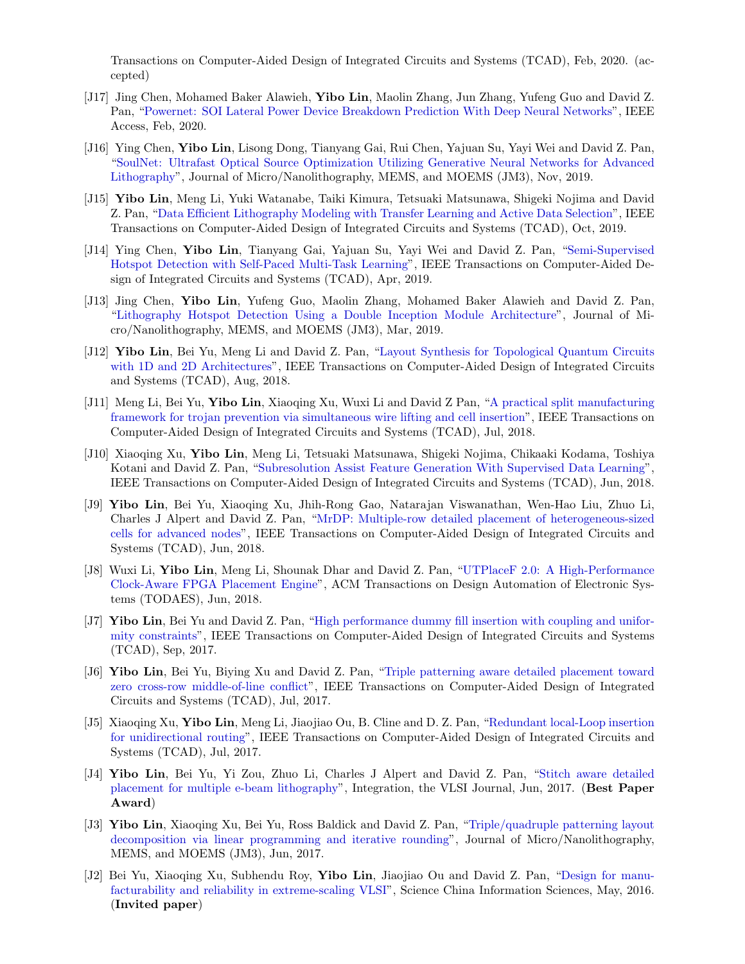Transactions on Computer-Aided Design of Integrated Circuits and Systems (TCAD), Feb, 2020. (accepted)

- [J17] Jing Chen, Mohamed Baker Alawieh, Yibo Lin, Maolin Zhang, Jun Zhang, Yufeng Guo and David Z. Pan, ["Powernet: SOI Lateral Power Device Breakdown Prediction With Deep Neural Networks"](https://doi.org/10.1109/ACCESS.2020.2970966), IEEE Access, Feb, 2020.
- [J16] Ying Chen, Yibo Lin, Lisong Dong, Tianyang Gai, Rui Chen, Yajuan Su, Yayi Wei and David Z. Pan, ["SoulNet: Ultrafast Optical Source Optimization Utilizing Generative Neural Networks for Advanced](https://dx.doi.org/10.1117/1.JMM.18.4.043506) [Lithography"](https://dx.doi.org/10.1117/1.JMM.18.4.043506), Journal of Micro/Nanolithography, MEMS, and MOEMS (JM3), Nov, 2019.
- [J15] Yibo Lin, Meng Li, Yuki Watanabe, Taiki Kimura, Tetsuaki Matsunawa, Shigeki Nojima and David Z. Pan, ["Data Efficient Lithography Modeling with Transfer Learning and Active Data Selection"](https://doi.org/10.1109/TCAD.2018.2864251), IEEE Transactions on Computer-Aided Design of Integrated Circuits and Systems (TCAD), Oct, 2019.
- [J14] Ying Chen, Yibo Lin, Tianyang Gai, Yajuan Su, Yayi Wei and David Z. Pan, ["Semi-Supervised](https://doi.org/10.1109/TCAD.2019.2912948) [Hotspot Detection with Self-Paced Multi-Task Learning"](https://doi.org/10.1109/TCAD.2019.2912948), IEEE Transactions on Computer-Aided Design of Integrated Circuits and Systems (TCAD), Apr, 2019.
- [J13] Jing Chen, Yibo Lin, Yufeng Guo, Maolin Zhang, Mohamed Baker Alawieh and David Z. Pan, ["Lithography Hotspot Detection Using a Double Inception Module Architecture"](https://doi.org/10.1117/1.JMM.18.1.013507), Journal of Micro/Nanolithography, MEMS, and MOEMS (JM3), Mar, 2019.
- [J12] Yibo Lin, Bei Yu, Meng Li and David Z. Pan, ["Layout Synthesis for Topological Quantum Circuits](https://doi.org/10.1109/TCAD.2017.2760511) [with 1D and 2D Architectures"](https://doi.org/10.1109/TCAD.2017.2760511), IEEE Transactions on Computer-Aided Design of Integrated Circuits and Systems (TCAD), Aug, 2018.
- [J11] Meng Li, Bei Yu, Yibo Lin, Xiaoqing Xu, Wuxi Li and David Z Pan, ["A practical split manufacturing](https://doi.org/10.1109/TCAD.2018.2859402) [framework for trojan prevention via simultaneous wire lifting and cell insertion"](https://doi.org/10.1109/TCAD.2018.2859402), IEEE Transactions on Computer-Aided Design of Integrated Circuits and Systems (TCAD), Jul, 2018.
- [J10] Xiaoqing Xu, Yibo Lin, Meng Li, Tetsuaki Matsunawa, Shigeki Nojima, Chikaaki Kodama, Toshiya Kotani and David Z. Pan, ["Subresolution Assist Feature Generation With Supervised Data Learning"](https://doi.org/10.1109/TCAD.2017.2748029), IEEE Transactions on Computer-Aided Design of Integrated Circuits and Systems (TCAD), Jun, 2018.
- [J9] Yibo Lin, Bei Yu, Xiaoqing Xu, Jhih-Rong Gao, Natarajan Viswanathan, Wen-Hao Liu, Zhuo Li, Charles J Alpert and David Z. Pan, ["MrDP: Multiple-row detailed placement of heterogeneous-sized](https://doi.org/10.1109/TCAD.2017.2748025) [cells for advanced nodes"](https://doi.org/10.1109/TCAD.2017.2748025), IEEE Transactions on Computer-Aided Design of Integrated Circuits and Systems (TCAD), Jun, 2018.
- [J8] Wuxi Li, Yibo Lin, Meng Li, Shounak Dhar and David Z. Pan, ["UTPlaceF 2.0: A High-Performance](https://doi.org/10.1145/3174849) [Clock-Aware FPGA Placement Engine"](https://doi.org/10.1145/3174849), ACM Transactions on Design Automation of Electronic Systems (TODAES), Jun, 2018.
- [J7] Yibo Lin, Bei Yu and David Z. Pan, ["High performance dummy fill insertion with coupling and unifor](http://dx.doi.org/10.1109/TCAD.2016.2638452)[mity constraints"](http://dx.doi.org/10.1109/TCAD.2016.2638452), IEEE Transactions on Computer-Aided Design of Integrated Circuits and Systems (TCAD), Sep, 2017.
- [J6] Yibo Lin, Bei Yu, Biying Xu and David Z. Pan, ["Triple patterning aware detailed placement toward](http://dx.doi.org/10.1109/TCAD.2017.2648843) [zero cross-row middle-of-line conflict"](http://dx.doi.org/10.1109/TCAD.2017.2648843), IEEE Transactions on Computer-Aided Design of Integrated Circuits and Systems (TCAD), Jul, 2017.
- [J5] Xiaoqing Xu, Yibo Lin, Meng Li, Jiaojiao Ou, B. Cline and D. Z. Pan, ["Redundant local-Loop insertion](http://dx.doi.org/10.1109/TCAD.2017.2651811)" [for unidirectional routing"](http://dx.doi.org/10.1109/TCAD.2017.2651811), IEEE Transactions on Computer-Aided Design of Integrated Circuits and Systems (TCAD), Jul, 2017.
- [J4] Yibo Lin, Bei Yu, Yi Zou, Zhuo Li, Charles J Alpert and David Z. Pan, ["Stitch aware detailed](http://dx.doi.org/10.1016/j.vlsi.2017.02.004) [placement for multiple e-beam lithography"](http://dx.doi.org/10.1016/j.vlsi.2017.02.004), Integration, the VLSI Journal, Jun, 2017. (Best Paper Award)
- [J3] Yibo Lin, Xiaoqing Xu, Bei Yu, Ross Baldick and David Z. Pan, ["Triple/quadruple patterning layout](http://dx.doi.org/10.1117/1.JMM.16.2.023507) [decomposition via linear programming and iterative rounding"](http://dx.doi.org/10.1117/1.JMM.16.2.023507), Journal of Micro/Nanolithography, MEMS, and MOEMS (JM3), Jun, 2017.
- [J2] Bei Yu, Xiaoqing Xu, Subhendu Roy, Yibo Lin, Jiaojiao Ou and David Z. Pan, ["Design for manu](http://link.springer.com/article/10.1007%2Fs11432-016-5560-6)[facturability and reliability in extreme-scaling VLSI"](http://link.springer.com/article/10.1007%2Fs11432-016-5560-6), Science China Information Sciences, May, 2016. (Invited paper)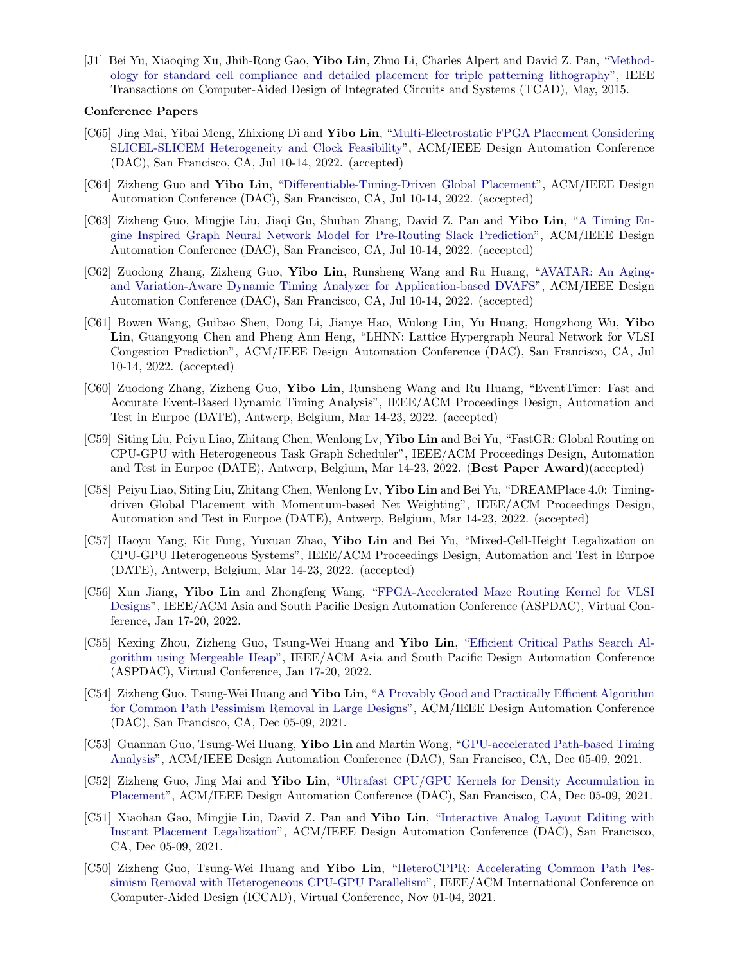[J1] Bei Yu, Xiaoqing Xu, Jhih-Rong Gao, Yibo Lin, Zhuo Li, Charles Alpert and David Z. Pan, ["Method](https://doi.org/10.1109/TCAD.2015.2401571)[ology for standard cell compliance and detailed placement for triple patterning lithography"](https://doi.org/10.1109/TCAD.2015.2401571), IEEE Transactions on Computer-Aided Design of Integrated Circuits and Systems (TCAD), May, 2015.

#### Conference Papers

- [C65] Jing Mai, Yibai Meng, Zhixiong Di and Yibo Lin, ["Multi-Electrostatic FPGA Placement Considering](https://doi.org/10.1145/3489517.3530568) [SLICEL-SLICEM Heterogeneity and Clock Feasibility"](https://doi.org/10.1145/3489517.3530568), ACM/IEEE Design Automation Conference (DAC), San Francisco, CA, Jul 10-14, 2022. (accepted)
- [C64] Zizheng Guo and Yibo Lin, ["Differentiable-Timing-Driven Global Placement"](https://doi.org/10.1145/3489517.3530486), ACM/IEEE Design Automation Conference (DAC), San Francisco, CA, Jul 10-14, 2022. (accepted)
- [C63] Zizheng Guo, Mingjie Liu, Jiaqi Gu, Shuhan Zhang, David Z. Pan and Yibo Lin, ["A Timing En](https://doi.org/10.1145/3489517.3530597)[gine Inspired Graph Neural Network Model for Pre-Routing Slack Prediction"](https://doi.org/10.1145/3489517.3530597), ACM/IEEE Design Automation Conference (DAC), San Francisco, CA, Jul 10-14, 2022. (accepted)
- [C62] Zuodong Zhang, Zizheng Guo, Yibo Lin, Runsheng Wang and Ru Huang, ["AVATAR: An Aging](https://doi.org/10.1145/3489517.3530530)[and Variation-Aware Dynamic Timing Analyzer for Application-based DVAFS"](https://doi.org/10.1145/3489517.3530530), ACM/IEEE Design Automation Conference (DAC), San Francisco, CA, Jul 10-14, 2022. (accepted)
- [C61] Bowen Wang, Guibao Shen, Dong Li, Jianye Hao, Wulong Liu, Yu Huang, Hongzhong Wu, Yibo Lin, Guangyong Chen and Pheng Ann Heng, "LHNN: Lattice Hypergraph Neural Network for VLSI Congestion Prediction", ACM/IEEE Design Automation Conference (DAC), San Francisco, CA, Jul 10-14, 2022. (accepted)
- [C60] Zuodong Zhang, Zizheng Guo, Yibo Lin, Runsheng Wang and Ru Huang, "EventTimer: Fast and Accurate Event-Based Dynamic Timing Analysis", IEEE/ACM Proceedings Design, Automation and Test in Eurpoe (DATE), Antwerp, Belgium, Mar 14-23, 2022. (accepted)
- [C59] Siting Liu, Peiyu Liao, Zhitang Chen, Wenlong Lv, Yibo Lin and Bei Yu, "FastGR: Global Routing on CPU-GPU with Heterogeneous Task Graph Scheduler", IEEE/ACM Proceedings Design, Automation and Test in Eurpoe (DATE), Antwerp, Belgium, Mar 14-23, 2022. (Best Paper Award)(accepted)
- [C58] Peiyu Liao, Siting Liu, Zhitang Chen, Wenlong Ly, Yibo Lin and Bei Yu, "DREAMPlace 4.0: Timingdriven Global Placement with Momentum-based Net Weighting", IEEE/ACM Proceedings Design, Automation and Test in Eurpoe (DATE), Antwerp, Belgium, Mar 14-23, 2022. (accepted)
- [C57] Haoyu Yang, Kit Fung, Yuxuan Zhao, Yibo Lin and Bei Yu, "Mixed-Cell-Height Legalization on CPU-GPU Heterogeneous Systems", IEEE/ACM Proceedings Design, Automation and Test in Eurpoe (DATE), Antwerp, Belgium, Mar 14-23, 2022. (accepted)
- [C56] Xun Jiang, Yibo Lin and Zhongfeng Wang, ["FPGA-Accelerated Maze Routing Kernel for VLSI](https://doi.org/10.1109/ASP-DAC52403.2022.9712533) [Designs"](https://doi.org/10.1109/ASP-DAC52403.2022.9712533), IEEE/ACM Asia and South Pacific Design Automation Conference (ASPDAC), Virtual Conference, Jan 17-20, 2022.
- [C55] Kexing Zhou, Zizheng Guo, Tsung-Wei Huang and Yibo Lin, ["Efficient Critical Paths Search Al](https://doi.org/10.1109/ASP-DAC52403.2022.9712566)[gorithm using Mergeable Heap"](https://doi.org/10.1109/ASP-DAC52403.2022.9712566), IEEE/ACM Asia and South Pacific Design Automation Conference (ASPDAC), Virtual Conference, Jan 17-20, 2022.
- [C54] Zizheng Guo, Tsung-Wei Huang and Yibo Lin, ["A Provably Good and Practically Efficient Algorithm](https://doi.org/10.1109/DAC18074.2021.9586085) [for Common Path Pessimism Removal in Large Designs"](https://doi.org/10.1109/DAC18074.2021.9586085), ACM/IEEE Design Automation Conference (DAC), San Francisco, CA, Dec 05-09, 2021.
- [C53] Guannan Guo, Tsung-Wei Huang, Yibo Lin and Martin Wong, ["GPU-accelerated Path-based Timing](https://doi.org/10.1109/DAC18074.2021.9586316) [Analysis"](https://doi.org/10.1109/DAC18074.2021.9586316), ACM/IEEE Design Automation Conference (DAC), San Francisco, CA, Dec 05-09, 2021.
- [C52] Zizheng Guo, Jing Mai and Yibo Lin, ["Ultrafast CPU/GPU Kernels for Density Accumulation in](https://doi.org/10.1109/DAC18074.2021.9586149) [Placement"](https://doi.org/10.1109/DAC18074.2021.9586149), ACM/IEEE Design Automation Conference (DAC), San Francisco, CA, Dec 05-09, 2021.
- [C51] Xiaohan Gao, Mingjie Liu, David Z. Pan and Yibo Lin, ["Interactive Analog Layout Editing with](https://doi.org/10.1109/DAC18074.2021.9586234) [Instant Placement Legalization"](https://doi.org/10.1109/DAC18074.2021.9586234), ACM/IEEE Design Automation Conference (DAC), San Francisco, CA, Dec 05-09, 2021.
- [C50] Zizheng Guo, Tsung-Wei Huang and Yibo Lin, ["HeteroCPPR: Accelerating Common Path Pes](https://doi.org/10.1109/ICCAD51958.2021.9643457)[simism Removal with Heterogeneous CPU-GPU Parallelism"](https://doi.org/10.1109/ICCAD51958.2021.9643457), IEEE/ACM International Conference on Computer-Aided Design (ICCAD), Virtual Conference, Nov 01-04, 2021.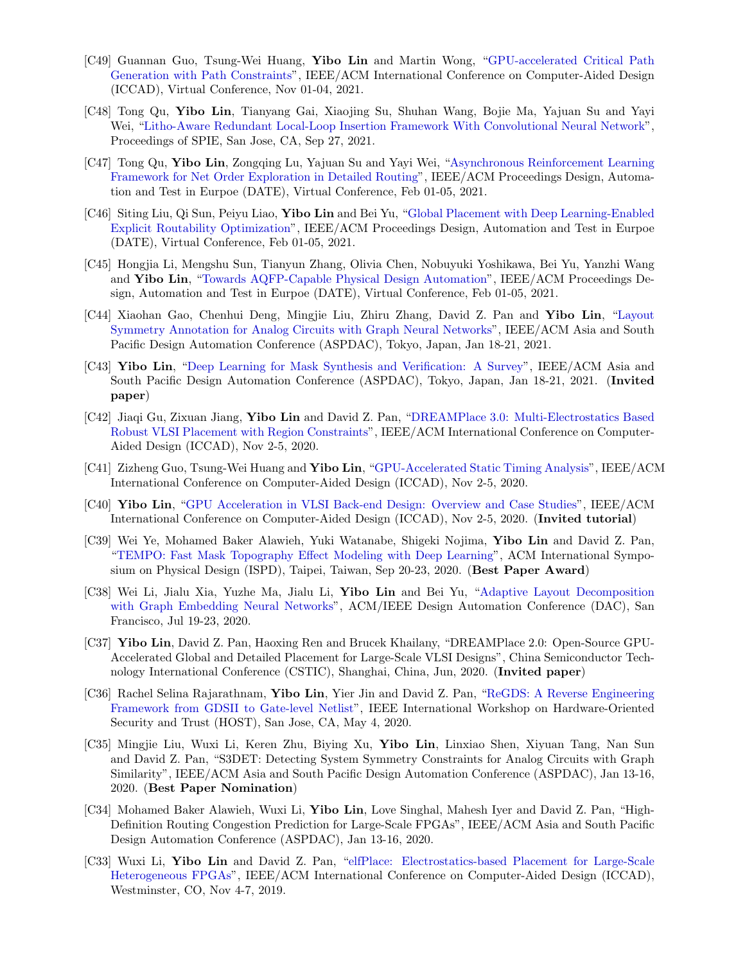- [C49] Guannan Guo, Tsung-Wei Huang, Yibo Lin and Martin Wong, ["GPU-accelerated Critical Path](https://doi.org/10.1109/ICCAD51958.2021.9643504) [Generation with Path Constraints"](https://doi.org/10.1109/ICCAD51958.2021.9643504), IEEE/ACM International Conference on Computer-Aided Design (ICCAD), Virtual Conference, Nov 01-04, 2021.
- [C48] Tong Qu, Yibo Lin, Tianyang Gai, Xiaojing Su, Shuhan Wang, Bojie Ma, Yajuan Su and Yayi Wei, ["Litho-Aware Redundant Local-Loop Insertion Framework With Convolutional Neural Network"](https://doi.org/10.1117/12.2601685), Proceedings of SPIE, San Jose, CA, Sep 27, 2021.
- [C47] Tong Qu, Yibo Lin, Zongqing Lu, Yajuan Su and Yavi Wei, ["Asynchronous Reinforcement Learning](https://doi.org/10.23919/DATE51398.2021.9474007) [Framework for Net Order Exploration in Detailed Routing"](https://doi.org/10.23919/DATE51398.2021.9474007), IEEE/ACM Proceedings Design, Automation and Test in Eurpoe (DATE), Virtual Conference, Feb 01-05, 2021.
- [C46] Siting Liu, Qi Sun, Peiyu Liao, Yibo Lin and Bei Yu, ["Global Placement with Deep Learning-Enabled](https://doi.org/10.23919/DATE51398.2021.9473959) [Explicit Routability Optimization"](https://doi.org/10.23919/DATE51398.2021.9473959), IEEE/ACM Proceedings Design, Automation and Test in Eurpoe (DATE), Virtual Conference, Feb 01-05, 2021.
- [C45] Hongjia Li, Mengshu Sun, Tianyun Zhang, Olivia Chen, Nobuyuki Yoshikawa, Bei Yu, Yanzhi Wang and Yibo Lin, ["Towards AQFP-Capable Physical Design Automation"](https://doi.org/10.23919/DATE51398.2021.9474259), IEEE/ACM Proceedings Design, Automation and Test in Eurpoe (DATE), Virtual Conference, Feb 01-05, 2021.
- [C44] Xiaohan Gao, Chenhui Deng, Mingjie Liu, Zhiru Zhang, David Z. Pan and Yibo Lin, ["Layout](https://doi.org/10.1145/3394885.3431545) [Symmetry Annotation for Analog Circuits with Graph Neural Networks"](https://doi.org/10.1145/3394885.3431545), IEEE/ACM Asia and South Pacific Design Automation Conference (ASPDAC), Tokyo, Japan, Jan 18-21, 2021.
- [C43] Yibo Lin, ["Deep Learning for Mask Synthesis and Verification: A Survey"](https://doi.org/10.1145/3394885.3431624), IEEE/ACM Asia and South Pacific Design Automation Conference (ASPDAC), Tokyo, Japan, Jan 18-21, 2021. (Invited paper)
- [C42] Jiaqi Gu, Zixuan Jiang, Yibo Lin and David Z. Pan, ["DREAMPlace 3.0: Multi-Electrostatics Based](https://doi.org/10.1145/3400302.3415691) [Robust VLSI Placement with Region Constraints"](https://doi.org/10.1145/3400302.3415691), IEEE/ACM International Conference on Computer-Aided Design (ICCAD), Nov 2-5, 2020.
- [C41] Zizheng Guo, Tsung-Wei Huang and Yibo Lin, ["GPU-Accelerated Static Timing Analysis"](https://doi.org/10.1145/3400302.3415631), IEEE/ACM International Conference on Computer-Aided Design (ICCAD), Nov 2-5, 2020.
- [C40] Yibo Lin, ["GPU Acceleration in VLSI Back-end Design: Overview and Case Studies"](https://doi.org/10.1145/3400302.3415765), IEEE/ACM International Conference on Computer-Aided Design (ICCAD), Nov 2-5, 2020. (Invited tutorial)
- [C39] Wei Ye, Mohamed Baker Alawieh, Yuki Watanabe, Shigeki Nojima, Yibo Lin and David Z. Pan, ["TEMPO: Fast Mask Topography Effect Modeling with Deep Learning"](https://doi.org/10.1145/3372780.3375565), ACM International Symposium on Physical Design (ISPD), Taipei, Taiwan, Sep 20-23, 2020. (Best Paper Award)
- [C38] Wei Li, Jialu Xia, Yuzhe Ma, Jialu Li, Yibo Lin and Bei Yu, ["Adaptive Layout Decomposition](https://doi.org/10.1109/DAC18072.2020.9218706) [with Graph Embedding Neural Networks"](https://doi.org/10.1109/DAC18072.2020.9218706), ACM/IEEE Design Automation Conference (DAC), San Francisco, Jul 19-23, 2020.
- [C37] Yibo Lin, David Z. Pan, Haoxing Ren and Brucek Khailany, "DREAMPlace 2.0: Open-Source GPU-Accelerated Global and Detailed Placement for Large-Scale VLSI Designs", China Semiconductor Technology International Conference (CSTIC), Shanghai, China, Jun, 2020. (Invited paper)
- [C36] Rachel Selina Rajarathnam, Yibo Lin, Yier Jin and David Z. Pan, ["ReGDS: A Reverse Engineering](https://doi.org/10.1109/HOST45689.2020.9300272) [Framework from GDSII to Gate-level Netlist"](https://doi.org/10.1109/HOST45689.2020.9300272), IEEE International Workshop on Hardware-Oriented Security and Trust (HOST), San Jose, CA, May 4, 2020.
- [C35] Mingjie Liu, Wuxi Li, Keren Zhu, Biying Xu, Yibo Lin, Linxiao Shen, Xiyuan Tang, Nan Sun and David Z. Pan, "S3DET: Detecting System Symmetry Constraints for Analog Circuits with Graph Similarity", IEEE/ACM Asia and South Pacific Design Automation Conference (ASPDAC), Jan 13-16, 2020. (Best Paper Nomination)
- [C34] Mohamed Baker Alawieh, Wuxi Li, Yibo Lin, Love Singhal, Mahesh Iyer and David Z. Pan, "High-Definition Routing Congestion Prediction for Large-Scale FPGAs", IEEE/ACM Asia and South Pacific Design Automation Conference (ASPDAC), Jan 13-16, 2020.
- [C33] Wuxi Li, Yibo Lin and David Z. Pan, ["elfPlace: Electrostatics-based Placement for Large-Scale](https://doi.org/10.1109/ICCAD45719.2019.8942075) [Heterogeneous FPGAs"](https://doi.org/10.1109/ICCAD45719.2019.8942075), IEEE/ACM International Conference on Computer-Aided Design (ICCAD), Westminster, CO, Nov 4-7, 2019.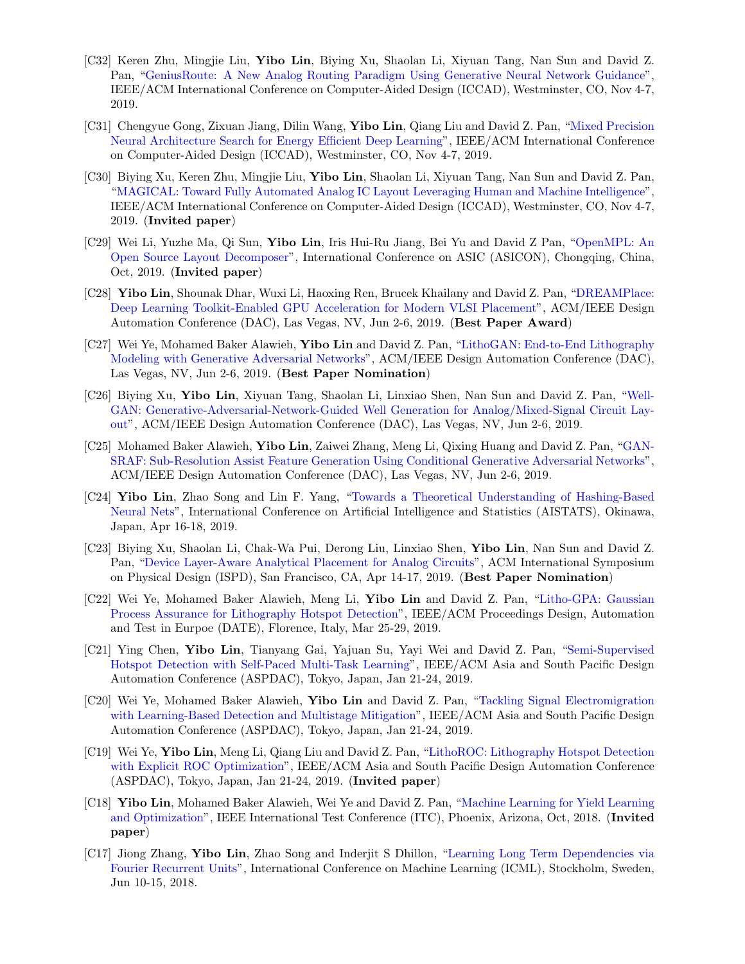- [C32] Keren Zhu, Mingjie Liu, Yibo Lin, Biying Xu, Shaolan Li, Xiyuan Tang, Nan Sun and David Z. Pan, ["GeniusRoute: A New Analog Routing Paradigm Using Generative Neural Network Guidance"](https://doi.org/10.1109/ICCAD45719.2019.8942164), IEEE/ACM International Conference on Computer-Aided Design (ICCAD), Westminster, CO, Nov 4-7, 2019.
- [C31] Chengyue Gong, Zixuan Jiang, Dilin Wang, Yibo Lin, Qiang Liu and David Z. Pan, ["Mixed Precision](https://doi.org/10.1109/ICCAD45719.2019.8942147)" [Neural Architecture Search for Energy Efficient Deep Learning"](https://doi.org/10.1109/ICCAD45719.2019.8942147), IEEE/ACM International Conference on Computer-Aided Design (ICCAD), Westminster, CO, Nov 4-7, 2019.
- [C30] Biying Xu, Keren Zhu, Mingjie Liu, Yibo Lin, Shaolan Li, Xiyuan Tang, Nan Sun and David Z. Pan, ["MAGICAL: Toward Fully Automated Analog IC Layout Leveraging Human and Machine Intelligence"](https://doi.org/10.1109/ICCAD45719.2019.8942060), IEEE/ACM International Conference on Computer-Aided Design (ICCAD), Westminster, CO, Nov 4-7, 2019. (Invited paper)
- [C29] Wei Li, Yuzhe Ma, Qi Sun, Yibo Lin, Iris Hui-Ru Jiang, Bei Yu and David Z Pan, ["OpenMPL: An](https://arxiv.org/abs/1809.07554) [Open Source Layout Decomposer"](https://arxiv.org/abs/1809.07554), International Conference on ASIC (ASICON), Chongqing, China, Oct, 2019. (Invited paper)
- [C28] Yibo Lin, Shounak Dhar, Wuxi Li, Haoxing Ren, Brucek Khailany and David Z. Pan, ["DREAMPlace:](https://doi.org/10.1145/3316781.3317803) [Deep Learning Toolkit-Enabled GPU Acceleration for Modern VLSI Placement"](https://doi.org/10.1145/3316781.3317803), ACM/IEEE Design Automation Conference (DAC), Las Vegas, NV, Jun 2-6, 2019. (Best Paper Award)
- [C27] Wei Ye, Mohamed Baker Alawieh, Yibo Lin and David Z. Pan, ["LithoGAN: End-to-End Lithography](https://doi.org/10.1145/3316781.3317852)" [Modeling with Generative Adversarial Networks"](https://doi.org/10.1145/3316781.3317852), ACM/IEEE Design Automation Conference (DAC), Las Vegas, NV, Jun 2-6, 2019. (Best Paper Nomination)
- [C26] Biying Xu, Yibo Lin, Xiyuan Tang, Shaolan Li, Linxiao Shen, Nan Sun and David Z. Pan, ["Well-](https://doi.org/10.1145/3316781.3317930)[GAN: Generative-Adversarial-Network-Guided Well Generation for Analog/Mixed-Signal Circuit Lay](https://doi.org/10.1145/3316781.3317930)[out"](https://doi.org/10.1145/3316781.3317930), ACM/IEEE Design Automation Conference (DAC), Las Vegas, NV, Jun 2-6, 2019.
- [C25] Mohamed Baker Alawieh, Yibo Lin, Zaiwei Zhang, Meng Li, Qixing Huang and David Z. Pan, ["GAN-](https://doi.org/10.1145/3316781.3317832)[SRAF: Sub-Resolution Assist Feature Generation Using Conditional Generative Adversarial Networks"](https://doi.org/10.1145/3316781.3317832), ACM/IEEE Design Automation Conference (DAC), Las Vegas, NV, Jun 2-6, 2019.
- [C24] Yibo Lin, Zhao Song and Lin F. Yang, ["Towards a Theoretical Understanding of Hashing-Based](https://arxiv.org/abs/1812.10244) [Neural Nets"](https://arxiv.org/abs/1812.10244), International Conference on Artificial Intelligence and Statistics (AISTATS), Okinawa, Japan, Apr 16-18, 2019.
- [C23] Biying Xu, Shaolan Li, Chak-Wa Pui, Derong Liu, Linxiao Shen, Yibo Lin, Nan Sun and David Z. Pan, ["Device Layer-Aware Analytical Placement for Analog Circuits"](https://doi.org/10.1145/3299902.3309751), ACM International Symposium on Physical Design (ISPD), San Francisco, CA, Apr 14-17, 2019. (Best Paper Nomination)
- [C22] Wei Ye, Mohamed Baker Alawieh, Meng Li, Yibo Lin and David Z. Pan, ["Litho-GPA: Gaussian](https://doi.org/10.23919/DATE.2019.8714960) [Process Assurance for Lithography Hotspot Detection"](https://doi.org/10.23919/DATE.2019.8714960), IEEE/ACM Proceedings Design, Automation and Test in Eurpoe (DATE), Florence, Italy, Mar 25-29, 2019.
- [C21] Ying Chen, Yibo Lin, Tianyang Gai, Yajuan Su, Yayi Wei and David Z. Pan, ["Semi-Supervised](https://doi.org/10.1145/3287624.3287685) [Hotspot Detection with Self-Paced Multi-Task Learning"](https://doi.org/10.1145/3287624.3287685), IEEE/ACM Asia and South Pacific Design Automation Conference (ASPDAC), Tokyo, Japan, Jan 21-24, 2019.
- [C20] Wei Ye, Mohamed Baker Alawieh, Yibo Lin and David Z. Pan, ["Tackling Signal Electromigration](https://doi.org/10.1145/3287624.3287688) [with Learning-Based Detection and Multistage Mitigation"](https://doi.org/10.1145/3287624.3287688), IEEE/ACM Asia and South Pacific Design Automation Conference (ASPDAC), Tokyo, Japan, Jan 21-24, 2019.
- [C19] Wei Ye, Yibo Lin, Meng Li, Qiang Liu and David Z. Pan, ["LithoROC: Lithography Hotspot Detection](https://doi.org/10.1145/3287624.3288746) [with Explicit ROC Optimization"](https://doi.org/10.1145/3287624.3288746), IEEE/ACM Asia and South Pacific Design Automation Conference (ASPDAC), Tokyo, Japan, Jan 21-24, 2019. (Invited paper)
- [C18] Yibo Lin, Mohamed Baker Alawieh, Wei Ye and David Z. Pan, ["Machine Learning for Yield Learning](https://doi.org/10.1109/TEST.2018.8624733) [and Optimization"](https://doi.org/10.1109/TEST.2018.8624733), IEEE International Test Conference (ITC), Phoenix, Arizona, Oct, 2018. (Invited paper)
- [C17] Jiong Zhang, Yibo Lin, Zhao Song and Inderjit S Dhillon, ["Learning Long Term Dependencies via](https://arxiv.org/pdf/1803.06585.pdf) [Fourier Recurrent Units"](https://arxiv.org/pdf/1803.06585.pdf), International Conference on Machine Learning (ICML), Stockholm, Sweden, Jun 10-15, 2018.